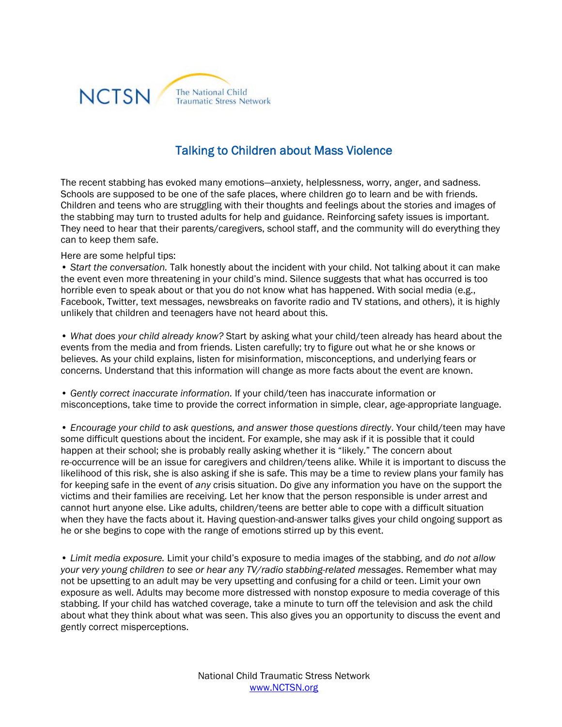

## Talking to Children about Mass Violence

The recent stabbing has evoked many emotions—anxiety, helplessness, worry, anger, and sadness. Schools are supposed to be one of the safe places, where children go to learn and be with friends. Children and teens who are struggling with their thoughts and feelings about the stories and images of the stabbing may turn to trusted adults for help and guidance. Reinforcing safety issues is important. They need to hear that their parents/caregivers, school staff, and the community will do everything they can to keep them safe.

## Here are some helpful tips:

• *Start the conversation.* Talk honestly about the incident with your child. Not talking about it can make the event even more threatening in your child's mind. Silence suggests that what has occurred is too horrible even to speak about or that you do not know what has happened. With social media (e.g., Facebook, Twitter, text messages, newsbreaks on favorite radio and TV stations, and others), it is highly unlikely that children and teenagers have not heard about this.

• *What does your child already know?* Start by asking what your child/teen already has heard about the events from the media and from friends. Listen carefully; try to figure out what he or she knows or believes. As your child explains, listen for misinformation, misconceptions, and underlying fears or concerns. Understand that this information will change as more facts about the event are known.

• *Gently correct inaccurate information.* If your child/teen has inaccurate information or misconceptions, take time to provide the correct information in simple, clear, age-appropriate language.

• *Encourage your child to ask questions, and answer those questions directly*. Your child/teen may have some difficult questions about the incident. For example, she may ask if it is possible that it could happen at their school; she is probably really asking whether it is "likely." The concern about re-occurrence will be an issue for caregivers and children/teens alike. While it is important to discuss the likelihood of this risk, she is also asking if she is safe. This may be a time to review plans your family has for keeping safe in the event of *any* crisis situation. Do give any information you have on the support the victims and their families are receiving. Let her know that the person responsible is under arrest and cannot hurt anyone else. Like adults, children/teens are better able to cope with a difficult situation when they have the facts about it. Having question-and-answer talks gives your child ongoing support as he or she begins to cope with the range of emotions stirred up by this event.

• *Limit media exposure.* Limit your child's exposure to media images of the stabbing, and *do not allow your very young children to see or hear any TV/radio stabbing-related messages*. Remember what may not be upsetting to an adult may be very upsetting and confusing for a child or teen. Limit your own exposure as well. Adults may become more distressed with nonstop exposure to media coverage of this stabbing. If your child has watched coverage, take a minute to turn off the television and ask the child about what they think about what was seen. This also gives you an opportunity to discuss the event and gently correct misperceptions.